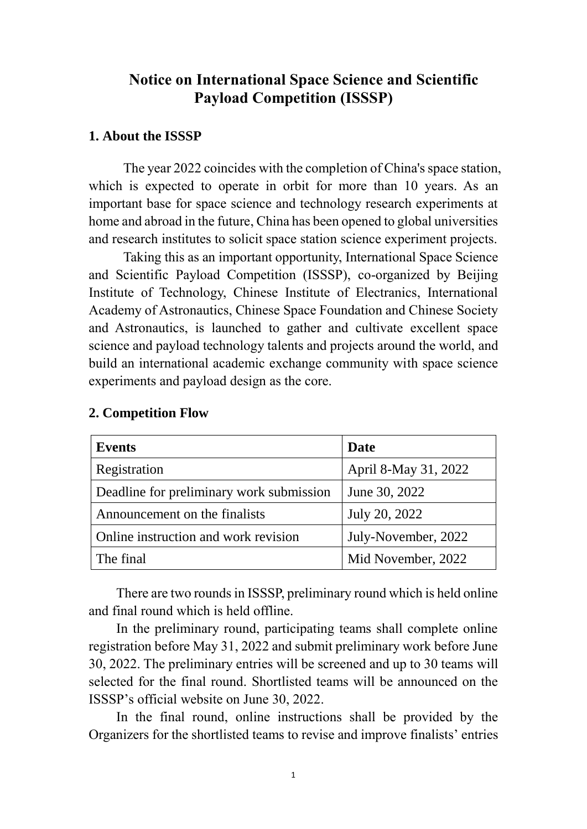# **Notice on International Space Science and Scientific Payload Competition (ISSSP)**

#### **1. About the ISSSP**

The year 2022 coincides with the completion of China's space station, which is expected to operate in orbit for more than 10 years. As an important base for space science and technology research experiments at home and abroad in the future, China has been opened to global universities and research institutes to solicit space station science experiment projects.

Taking this as an important opportunity, International Space Science and Scientific Payload Competition (ISSSP), co-organized by Beijing Institute of Technology, Chinese Institute of Electranics, International Academy of Astronautics, Chinese Space Foundation and Chinese Society and Astronautics, is launched to gather and cultivate excellent space science and payload technology talents and projects around the world, and build an international academic exchange community with space science experiments and payload design as the core.

| <b>Events</b>                            | Date                 |
|------------------------------------------|----------------------|
| Registration                             | April 8-May 31, 2022 |
| Deadline for preliminary work submission | June 30, 2022        |
| Announcement on the finalists            | July 20, 2022        |
| Online instruction and work revision     | July-November, 2022  |
| The final                                | Mid November, 2022   |

#### **2. Competition Flow**

There are two rounds in ISSSP, preliminary round which is held online and final round which is held offline.

In the preliminary round, participating teams shall complete online registration before May 31, 2022 and submit preliminary work before June 30, 2022. The preliminary entries will be screened and up to 30 teams will selected for the final round. Shortlisted teams will be announced on the ISSSP's official website on June 30, 2022.

In the final round, online instructions shall be provided by the Organizers for the shortlisted teams to revise and improve finalists' entries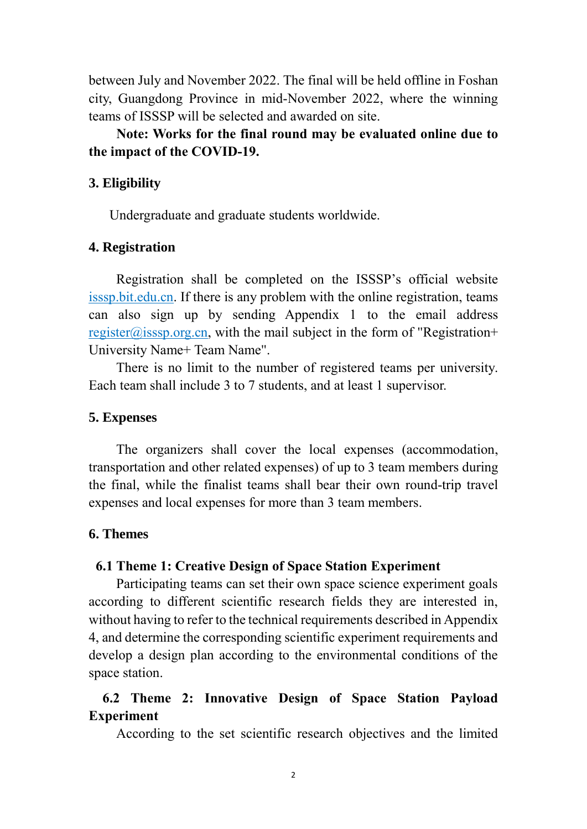between July and November 2022. The final will be held offline in Foshan city, Guangdong Province in mid-November 2022, where the winning teams of ISSSP will be selected and awarded on site.

## **Note: Works for the final round may be evaluated online due to the impact of the COVID-19.**

### **3. Eligibility**

Undergraduate and graduate students worldwide.

### **4. Registration**

Registration shall be completed on the ISSSP's official website isssp.bit.edu.cn. If there is any problem with the online registration, teams can also sign up by sending Appendix 1 to the email address register@isssp.org.cn, with the mail subject in the form of "Registration+ University Name+ Team Name".

There is no limit to the number of registered teams per university. Each team shall include 3 to 7 students, and at least 1 supervisor.

#### **5. Expenses**

The organizers shall cover the local expenses (accommodation, transportation and other related expenses) of up to 3 team members during the final, while the finalist teams shall bear their own round-trip travel expenses and local expenses for more than 3 team members.

### **6. Themes**

#### **6.1 Theme 1: Creative Design of Space Station Experiment**

Participating teams can set their own space science experiment goals according to different scientific research fields they are interested in, without having to refer to the technical requirements described in Appendix 4, and determine the corresponding scientific experiment requirements and develop a design plan according to the environmental conditions of the space station.

# **6.2 Theme 2: Innovative Design of Space Station Payload Experiment**

According to the set scientific research objectives and the limited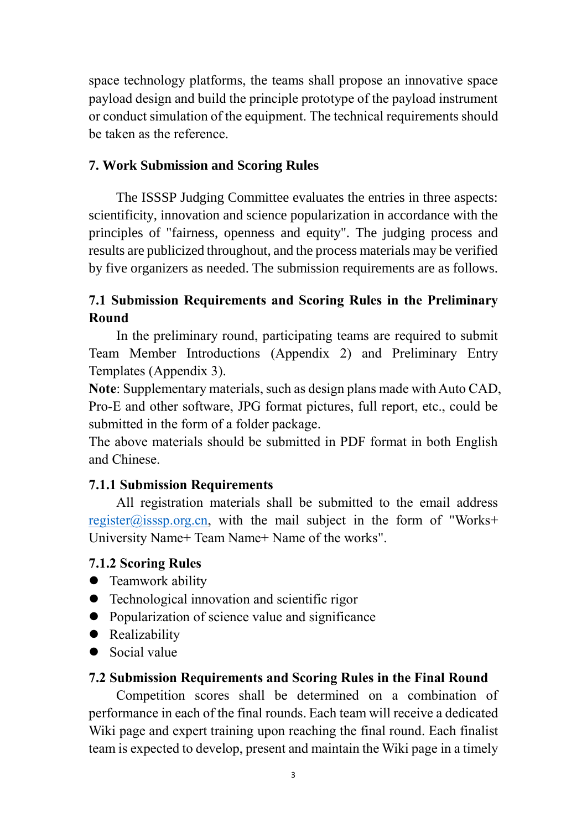space technology platforms, the teams shall propose an innovative space payload design and build the principle prototype of the payload instrument or conduct simulation of the equipment. The technical requirements should be taken as the reference.

## **7. Work Submission and Scoring Rules**

The ISSSP Judging Committee evaluates the entries in three aspects: scientificity, innovation and science popularization in accordance with the principles of "fairness, openness and equity". The judging process and results are publicized throughout, and the process materials may be verified by five organizers as needed. The submission requirements are as follows.

# **7.1 Submission Requirements and Scoring Rules in the Preliminary Round**

In the preliminary round, participating teams are required to submit Team Member Introductions (Appendix 2) and Preliminary Entry Templates (Appendix 3).

**Note**: Supplementary materials, such as design plans made with Auto CAD, Pro-E and other software, JPG format pictures, full report, etc., could be submitted in the form of a folder package.

The above materials should be submitted in PDF format in both English and Chinese.

# **7.1.1 Submission Requirements**

All registration materials shall be submitted to the email address [register@isssp.org.cn,](mailto:register@isssp.org.cn) with the mail subject in the form of "Works+ University Name+ Team Name+ Name of the works".

### **7.1.2 Scoring Rules**

- Teamwork ability
- Technological innovation and scientific rigor
- Popularization of science value and significance
- Realizability
- Social value

### **7.2 Submission Requirements and Scoring Rules in the Final Round**

Competition scores shall be determined on a combination of performance in each of the final rounds. Each team will receive a dedicated Wiki page and expert training upon reaching the final round. Each finalist team is expected to develop, present and maintain the Wiki page in a timely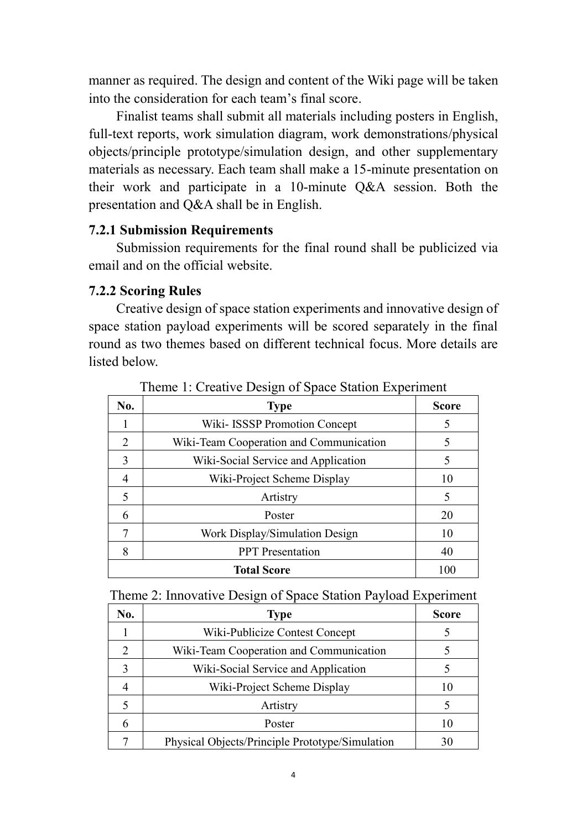manner as required. The design and content of the Wiki page will be taken into the consideration for each team's final score.

Finalist teams shall submit all materials including posters in English, full-text reports, work simulation diagram, work demonstrations/physical objects/principle prototype/simulation design, and other supplementary materials as necessary. Each team shall make a 15-minute presentation on their work and participate in a 10-minute Q&A session. Both the presentation and Q&A shall be in English.

#### **7.2.1 Submission Requirements**

Submission requirements for the final round shall be publicized via email and on the official website.

#### **7.2.2 Scoring Rules**

Creative design of space station experiments and innovative design of space station payload experiments will be scored separately in the final round as two themes based on different technical focus. More details are listed below.

| No.                | <b>Type</b>                             | <b>Score</b> |
|--------------------|-----------------------------------------|--------------|
|                    | Wiki- ISSSP Promotion Concept           |              |
| 2                  | Wiki-Team Cooperation and Communication |              |
| 3                  | Wiki-Social Service and Application     | 5            |
| 4                  | Wiki-Project Scheme Display             | 10           |
| 5                  | Artistry                                | 5            |
| 6                  | Poster                                  | 20           |
| 7                  | Work Display/Simulation Design          | 10           |
| 8                  | <b>PPT</b> Presentation                 | 40           |
| <b>Total Score</b> |                                         | 100          |

Theme 1: Creative Design of Space Station Experiment

|  | Theme 2: Innovative Design of Space Station Payload Experiment |  |  |  |
|--|----------------------------------------------------------------|--|--|--|
|  |                                                                |  |  |  |

| No.           | <b>Type</b>                                     | <b>Score</b> |
|---------------|-------------------------------------------------|--------------|
|               | Wiki-Publicize Contest Concept                  |              |
| $\mathcal{P}$ | Wiki-Team Cooperation and Communication         |              |
|               | Wiki-Social Service and Application             |              |
|               | Wiki-Project Scheme Display                     | 10           |
|               | Artistry                                        |              |
|               | Poster                                          | 10           |
|               | Physical Objects/Principle Prototype/Simulation | 30           |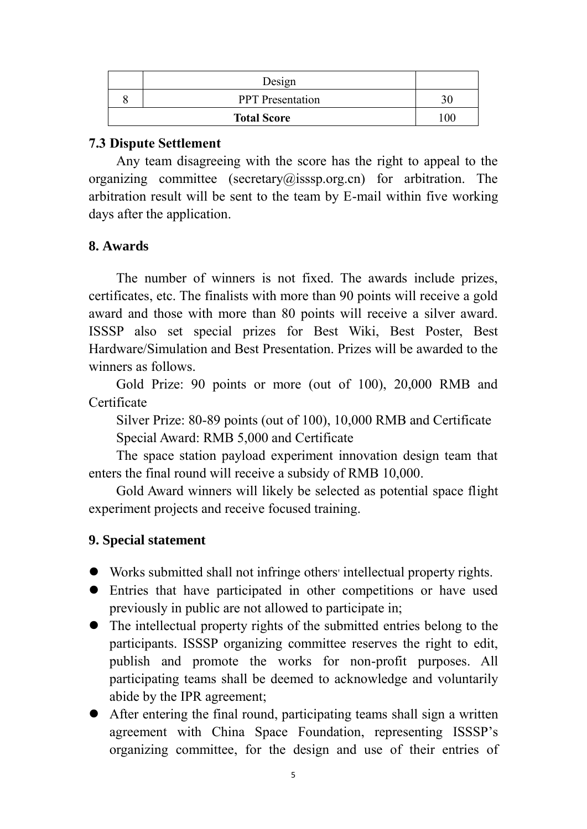| Design                  |     |
|-------------------------|-----|
| <b>PPT</b> Presentation |     |
| <b>Total Score</b>      | 100 |

#### **7.3 Dispute Settlement**

Any team disagreeing with the score has the right to appeal to the organizing committee (secretary@isssp.org.cn) for arbitration. The arbitration result will be sent to the team by E-mail within five working days after the application.

### **8. Awards**

The number of winners is not fixed. The awards include prizes, certificates, etc. The finalists with more than 90 points will receive a gold award and those with more than 80 points will receive a silver award. ISSSP also set special prizes for Best Wiki, Best Poster, Best Hardware/Simulation and Best Presentation. Prizes will be awarded to the winners as follows.

Gold Prize: 90 points or more (out of 100), 20,000 RMB and Certificate

Silver Prize: 80-89 points (out of 100), 10,000 RMB and Certificate Special Award: RMB 5,000 and Certificate

The space station payload experiment innovation design team that enters the final round will receive a subsidy of RMB 10,000.

Gold Award winners will likely be selected as potential space flight experiment projects and receive focused training.

### **9. Special statement**

- Works submitted shall not infringe others' intellectual property rights.
- Entries that have participated in other competitions or have used previously in public are not allowed to participate in;
- The intellectual property rights of the submitted entries belong to the participants. ISSSP organizing committee reserves the right to edit, publish and promote the works for non-profit purposes. All participating teams shall be deemed to acknowledge and voluntarily abide by the IPR agreement;
- After entering the final round, participating teams shall sign a written agreement with China Space Foundation, representing ISSSP's organizing committee, for the design and use of their entries of